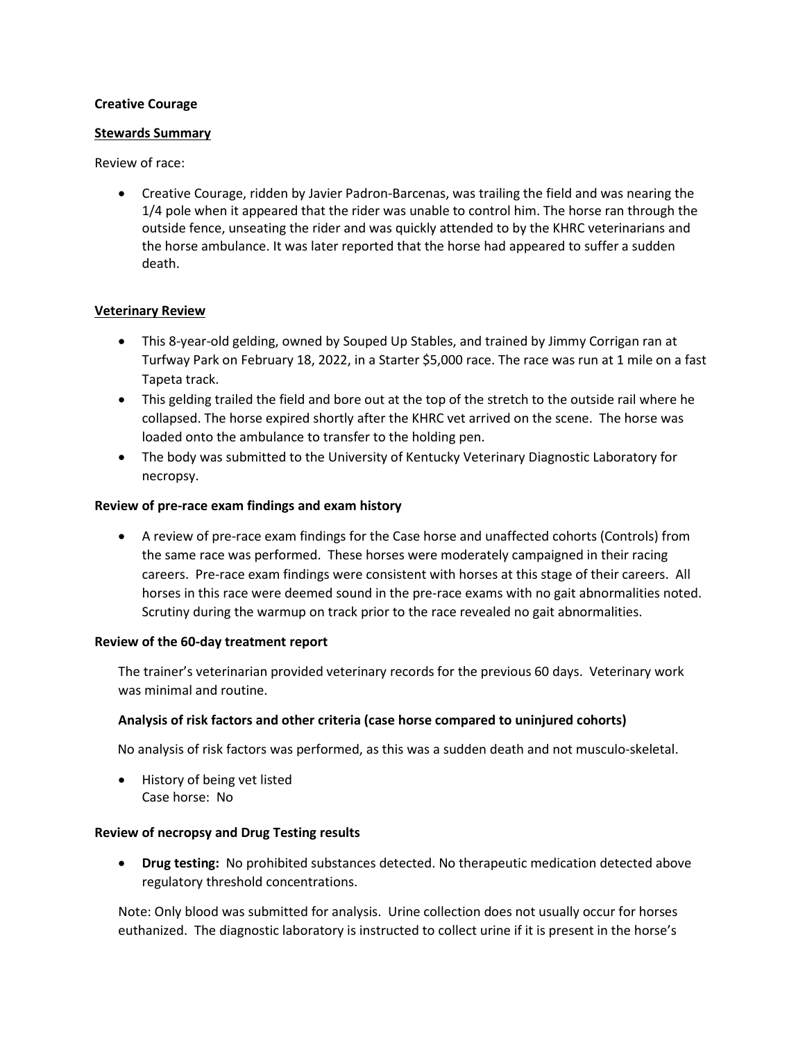### **Creative Courage**

### **Stewards Summary**

## Review of race:

 Creative Courage, ridden by Javier Padron-Barcenas, was trailing the field and was nearing the 1/4 pole when it appeared that the rider was unable to control him. The horse ran through the outside fence, unseating the rider and was quickly attended to by the KHRC veterinarians and the horse ambulance. It was later reported that the horse had appeared to suffer a sudden death.

## **Veterinary Review**

- This 8-year-old gelding, owned by Souped Up Stables, and trained by Jimmy Corrigan ran at Turfway Park on February 18, 2022, in a Starter \$5,000 race. The race was run at 1 mile on a fast Tapeta track.
- This gelding trailed the field and bore out at the top of the stretch to the outside rail where he collapsed. The horse expired shortly after the KHRC vet arrived on the scene. The horse was loaded onto the ambulance to transfer to the holding pen.
- The body was submitted to the University of Kentucky Veterinary Diagnostic Laboratory for necropsy.

### **Review of pre-race exam findings and exam history**

 A review of pre-race exam findings for the Case horse and unaffected cohorts (Controls) from the same race was performed. These horses were moderately campaigned in their racing careers. Pre-race exam findings were consistent with horses at this stage of their careers. All horses in this race were deemed sound in the pre-race exams with no gait abnormalities noted. Scrutiny during the warmup on track prior to the race revealed no gait abnormalities.

#### **Review of the 60-day treatment report**

The trainer's veterinarian provided veterinary records for the previous 60 days. Veterinary work was minimal and routine.

## **Analysis of risk factors and other criteria (case horse compared to uninjured cohorts)**

No analysis of risk factors was performed, as this was a sudden death and not musculo-skeletal.

• History of being vet listed Case horse: No

#### **Review of necropsy and Drug Testing results**

 **Drug testing:** No prohibited substances detected. No therapeutic medication detected above regulatory threshold concentrations.

Note: Only blood was submitted for analysis. Urine collection does not usually occur for horses euthanized. The diagnostic laboratory is instructed to collect urine if it is present in the horse's